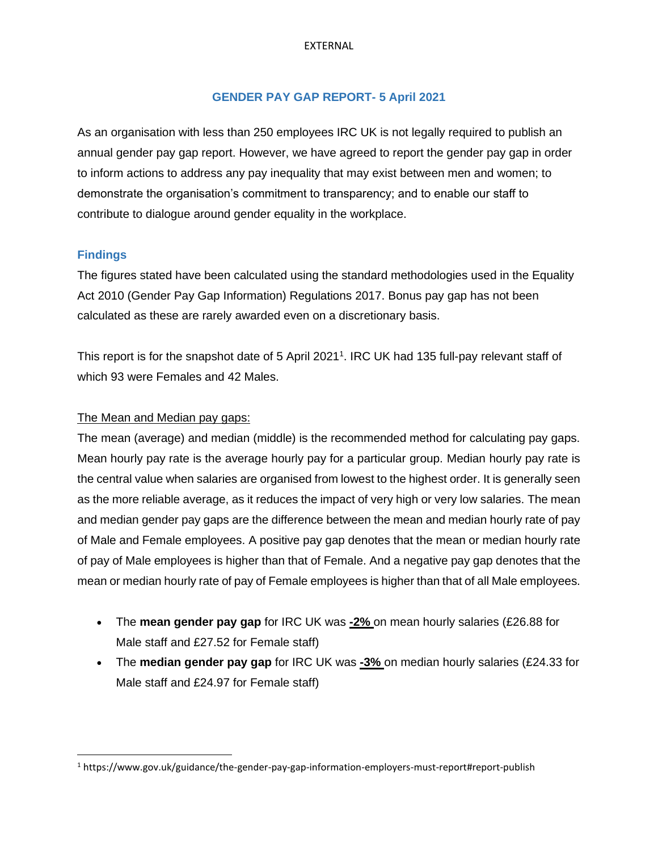#### EXTERNAL

# **GENDER PAY GAP REPORT- 5 April 2021**

As an organisation with less than 250 employees IRC UK is not legally required to publish an annual gender pay gap report. However, we have agreed to report the gender pay gap in order to inform actions to address any pay inequality that may exist between men and women; to demonstrate the organisation's commitment to transparency; and to enable our staff to contribute to dialogue around gender equality in the workplace.

#### **Findings**

The figures stated have been calculated using the standard methodologies used in the Equality Act 2010 (Gender Pay Gap Information) Regulations 2017. Bonus pay gap has not been calculated as these are rarely awarded even on a discretionary basis.

This report is for the snapshot date of 5 April 2021<sup>1</sup>. IRC UK had 135 full-pay relevant staff of which 93 were Females and 42 Males.

# The Mean and Median pay gaps:

The mean (average) and median (middle) is the recommended method for calculating pay gaps. Mean hourly pay rate is the average hourly pay for a particular group. Median hourly pay rate is the central value when salaries are organised from lowest to the highest order. It is generally seen as the more reliable average, as it reduces the impact of very high or very low salaries. The mean and median gender pay gaps are the difference between the mean and median hourly rate of pay of Male and Female employees. A positive pay gap denotes that the mean or median hourly rate of pay of Male employees is higher than that of Female. And a negative pay gap denotes that the mean or median hourly rate of pay of Female employees is higher than that of all Male employees.

- The **mean gender pay gap** for IRC UK was **-2%** on mean hourly salaries (£26.88 for Male staff and £27.52 for Female staff)
- The **median gender pay gap** for IRC UK was **-3%** on median hourly salaries (£24.33 for Male staff and £24.97 for Female staff)

<sup>1</sup> https://www.gov.uk/guidance/the-gender-pay-gap-information-employers-must-report#report-publish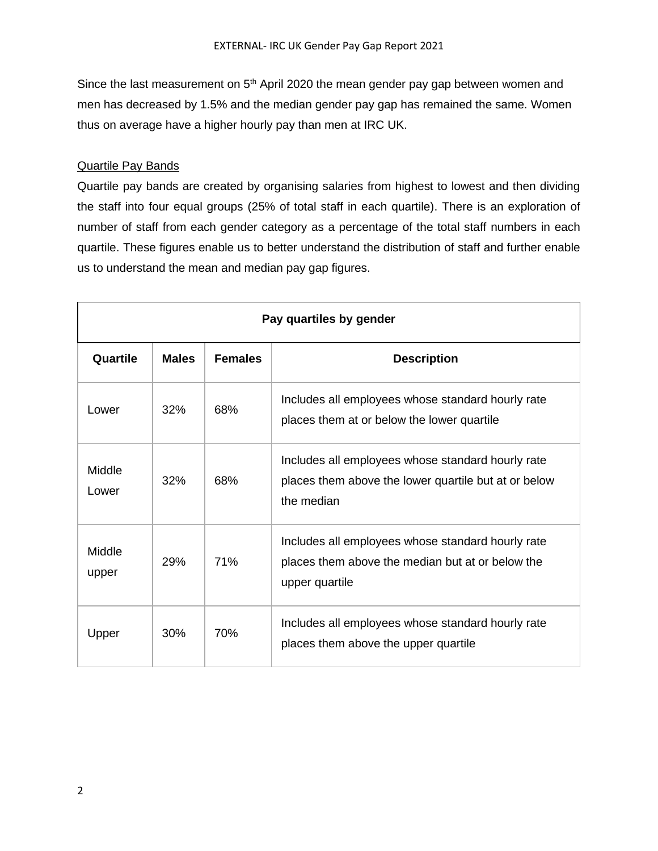Since the last measurement on  $5<sup>th</sup>$  April 2020 the mean gender pay gap between women and men has decreased by 1.5% and the median gender pay gap has remained the same. Women thus on average have a higher hourly pay than men at IRC UK.

### Quartile Pay Bands

Quartile pay bands are created by organising salaries from highest to lowest and then dividing the staff into four equal groups (25% of total staff in each quartile). There is an exploration of number of staff from each gender category as a percentage of the total staff numbers in each quartile. These figures enable us to better understand the distribution of staff and further enable us to understand the mean and median pay gap figures.

| Pay quartiles by gender |              |                |                                                                                                                         |
|-------------------------|--------------|----------------|-------------------------------------------------------------------------------------------------------------------------|
| Quartile                | <b>Males</b> | <b>Females</b> | <b>Description</b>                                                                                                      |
| Lower                   | 32%          | 68%            | Includes all employees whose standard hourly rate<br>places them at or below the lower quartile                         |
| Middle<br>Lower         | 32%          | 68%            | Includes all employees whose standard hourly rate<br>places them above the lower quartile but at or below<br>the median |
| Middle<br>upper         | 29%          | 71%            | Includes all employees whose standard hourly rate<br>places them above the median but at or below the<br>upper quartile |
| Upper                   | 30%          | 70%            | Includes all employees whose standard hourly rate<br>places them above the upper quartile                               |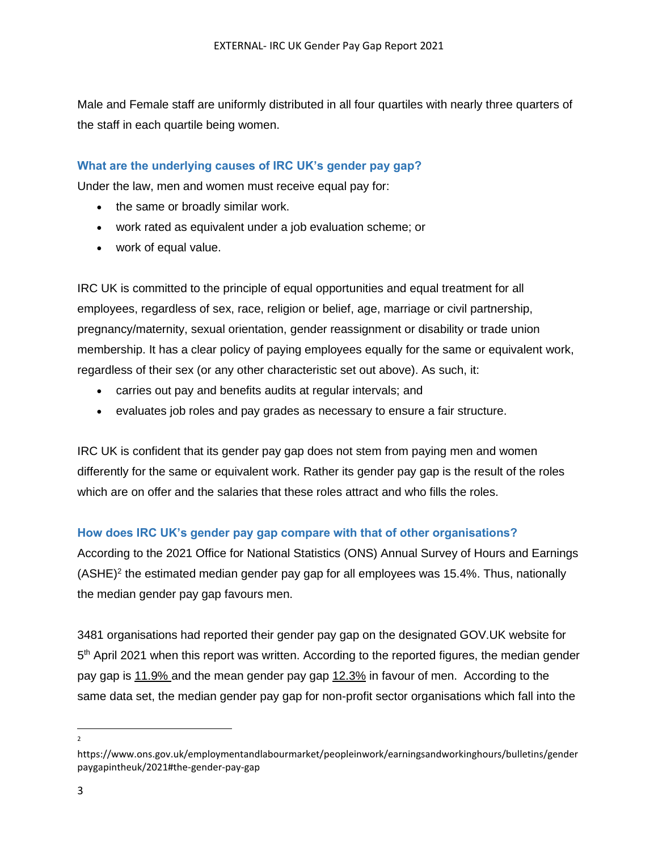Male and Female staff are uniformly distributed in all four quartiles with nearly three quarters of the staff in each quartile being women.

# **What are the underlying causes of IRC UK's gender pay gap?**

Under the law, men and women must receive equal pay for:

- the same or broadly similar work.
- work rated as equivalent under a job evaluation scheme; or
- work of equal value.

IRC UK is committed to the principle of equal opportunities and equal treatment for all employees, regardless of sex, race, religion or belief, age, marriage or civil partnership, pregnancy/maternity, sexual orientation, gender reassignment or disability or trade union membership. It has a clear policy of paying employees equally for the same or equivalent work, regardless of their sex (or any other characteristic set out above). As such, it:

- carries out pay and benefits audits at regular intervals; and
- evaluates job roles and pay grades as necessary to ensure a fair structure.

IRC UK is confident that its gender pay gap does not stem from paying men and women differently for the same or equivalent work. Rather its gender pay gap is the result of the roles which are on offer and the salaries that these roles attract and who fills the roles.

# **How does IRC UK's gender pay gap compare with that of other organisations?**

According to the 2021 Office for National Statistics (ONS) Annual Survey of Hours and Earnings  $(ASHE)^2$  the estimated median gender pay gap for all employees was 15.4%. Thus, nationally the median gender pay gap favours men.

3481 organisations had reported their gender pay gap on the designated GOV.UK website for 5<sup>th</sup> April 2021 when this report was written. According to the reported figures, the median gender pay gap is 11.9% and the mean gender pay gap 12.3% in favour of men. According to the same data set, the median gender pay gap for non-profit sector organisations which fall into the

2

https://www.ons.gov.uk/employmentandlabourmarket/peopleinwork/earningsandworkinghours/bulletins/gender paygapintheuk/2021#the-gender-pay-gap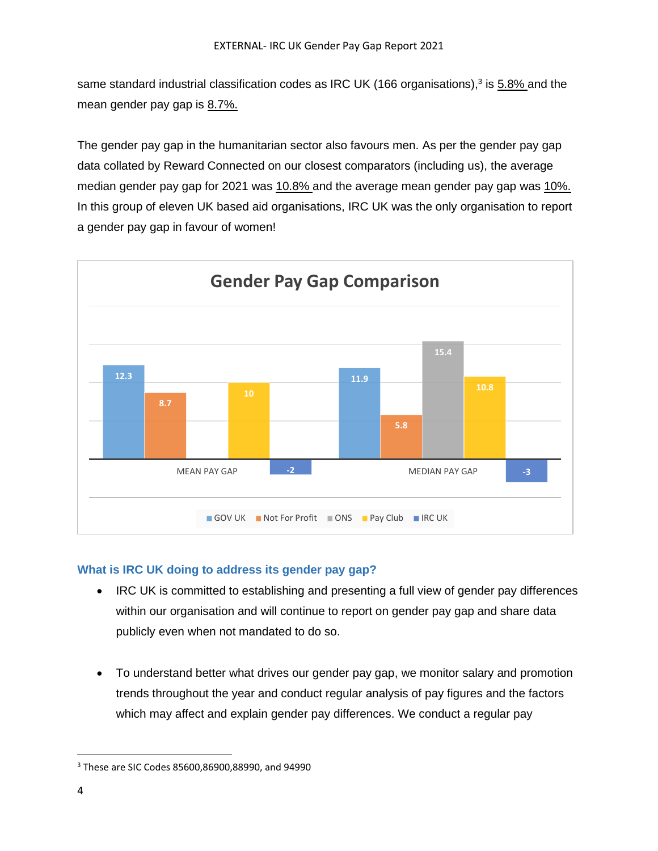same standard industrial classification codes as IRC UK (166 organisations),<sup>3</sup> is 5.8% and the mean gender pay gap is 8.7%.

The gender pay gap in the humanitarian sector also favours men. As per the gender pay gap data collated by Reward Connected on our closest comparators (including us), the average median gender pay gap for 2021 was 10.8% and the average mean gender pay gap was 10%. In this group of eleven UK based aid organisations, IRC UK was the only organisation to report a gender pay gap in favour of women!



# **What is IRC UK doing to address its gender pay gap?**

- IRC UK is committed to establishing and presenting a full view of gender pay differences within our organisation and will continue to report on gender pay gap and share data publicly even when not mandated to do so.
- To understand better what drives our gender pay gap, we monitor salary and promotion trends throughout the year and conduct regular analysis of pay figures and the factors which may affect and explain gender pay differences. We conduct a regular pay

<sup>3</sup> These are SIC Codes 85600,86900,88990, and 94990